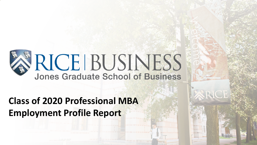

# **SERICE BUSINESS**

## **Class of 2020 Professional MBA Employment Profile Report**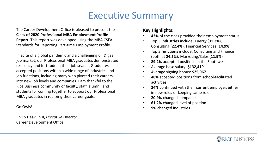#### Executive Summary

The Career Development Office is pleased to present the **Class of 2020 Professional MBA Employment Profile Report**. This report was developed using the MBA CSEA Standards for Reporting Part-time Employment Profile.

In spite of a global pandemic and a challenging oil & gas job market, our Professional MBA graduates demonstrated resiliency and fortitude in their job search. Graduates accepted positions within a wide range of industries and job functions, including many who pivoted their careers into new job levels and companies. I am thankful to the Rice Business community of faculty, staff, alumni, and students for coming together to support our Professional MBA graduates in realizing their career goals.

Go Owls!

Philip Heavilin II, *Executive Director* Career Development Office

#### **Key Highlights:**

- **43%** of the class provided their employment status
- Top 3 **industries** include: Energy (**31.3%**), Consulting (**22.4%**), Financial Services (**14.9%**)
- Top 3 **functions** include: Consulting and Finance (both at **24.5%**), Marketing/Sales (**11.9%**)
- **89.2%** accepted positions in the Southwest
- Average base salary: **\$132,419**
- Average signing bonus: **\$25,967**
- **48%** accepted positions from school-facilitated activities
- 24% continued with their current employer, either in new roles or keeping same role
- **20.9%** changed companies
- **61.2%** changed level of position
- **9%** changed industries

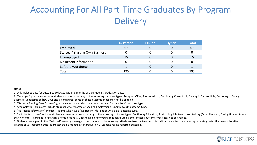#### Accounting For All Part-Time Graduates By Program **Delivery**

|                                        | <b>In-Person</b> | <b>Online</b> | <b>Hybrid</b> | Total |
|----------------------------------------|------------------|---------------|---------------|-------|
| Employed                               | 67               |               |               | 67    |
| <b>Started / Starting Own Business</b> |                  |               |               |       |
| Unemployed                             | 15               |               |               | 15    |
| No Recent Information                  |                  |               |               |       |
| Left the Workforce                     |                  |               |               |       |
| Total                                  | 195              |               |               | 195   |

#### **Notes**

1. Only includes data for outcomes collected within 5 months of the student's graduation date.

2. "Employed" graduates includes students who reported any of the following outcome types: Accepted Offer, Sponsored Job, Continuing Current Job, Staying in Current Role, Returning to Family Business. Depending on how your site is configured, some of these outcome types may not be enabled.

3. "Started / Starting Own Business" graduates include students who reported an "Own Venture" outcome type.

4. "Unemployed" graduates include students who reported a "Seeking Employment (Unemployed)" outcome type.

5. "No Recent Information" include students who have a "No Recent Information Available" outcome type.

6. "Left the Workforce" includes students who reported reported any of the following outcome types: Continuing Education, Postponing Job Search, Not Seeking (Other Reasons), Taking time off (more than 4 months), Caring for or starting a home or family. Depending on how your site is configured, some of these outcome types may not be enabled.

7. Students can appear in the "Excluded" warning message if one or more of the following criteria are true: 1) Accepted offer with no accepted date or accepted date greater than 4 months after graduation 2) "Reported Date" is greater than 5 months after graduation 3) Student has no reported outcome.

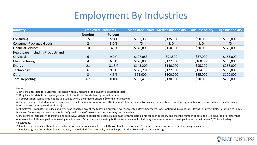### Employment By Industries

| <b>Industry</b>                    | <b>Employed Graduates</b> |         | <b>Mean Base Salary</b> | <b>Median Base Salary</b> | <b>Low Base Salary</b> | <b>High Base Salary</b> |
|------------------------------------|---------------------------|---------|-------------------------|---------------------------|------------------------|-------------------------|
|                                    | <b>Number</b>             | Percent |                         |                           |                        |                         |
| <b>Consulting</b>                  | 15                        | 22.4%   | \$132,333               | \$135,000                 | \$90,000               | \$160,000               |
| <b>Consumer Packaged Goods</b>     | $\mathcal{L}$             | 3.0%    | I/D                     | I/D                       | I/D                    | I/D                     |
| <b>Financial Services</b>          | 10                        | 14.9%   | \$140,800               | \$150,000                 | \$70,000               | \$175,000               |
| Healthcare (Including Products and |                           |         |                         |                           |                        |                         |
| Services)                          | 6                         | 9.0%    | \$107,083               | \$91,500                  | \$87,000               | \$165,000               |
| Manufacturing                      | 4                         | 6.0%    | \$120,000               | \$122,500                 | \$100,000              | \$135,000               |
| Energy                             | 21                        | 31.3%   | \$145,200               | \$140,000                 | \$95,200               | \$238,000               |
| Technology                         | 6                         | 9.0%    | \$128,231               | \$122,500                 | \$114,386              | \$165,000               |
| <b>Other</b>                       | 3                         | 4.5%    | \$95,000                | \$100,000                 | \$85,000               | \$100,000               |
| <b>Total Reporting</b>             | 67                        | 100%    | \$132,419               | \$130,000                 | \$70,000               | \$238,000               |

#### Notes

1. Only includes data for outcomes collected within 5 months of the student's graduation date.

2. Only includes data for accepted jobs within 4 months of the student's graduation date.

3. Compensation statistics do not include values where the student entered \$0 or did not respond.

4. The percentage of students for whom there is usable salary information is 100%. (This calculation is made by dividing the number of employed graduates for whom you have useable salary information/total employed graduates).

5. "Employed Graduates" includes students who reported any of the following outcome types: Accepted Offer, Sponsored Job, Continuing Current Job, Staying in Current Role, Returning to Family Business. Depending on how your site is configured, some of these outcome types may not be enabled.

6. I/D refers to instances with insufficient data. MBA Standard guidelines require a minimum of three data points for each category and that the number of data points is equal to or greater than one percent of full-time graduates seeking employment. Data points not meeting both requirements will still display the number of employed graduates, but will show "I/D" for all salary calculations.

7. Employed graduates without known salary information are included in the leftmost 'Employed Graduates' columns, but are not included in the salary calculations.

8. Employed graduates without known Industry are excluded from the table, and will appear in the "Excluded" warning message.

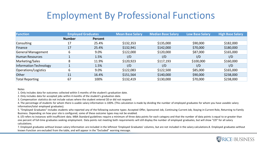### Employment By Professional Functions

| <b>Function</b>               | <b>Employed Graduates</b> |         | <b>Mean Base Salary</b> | <b>Median Base Salary</b> | <b>Low Base Salary</b> | <b>High Base Salary</b> |
|-------------------------------|---------------------------|---------|-------------------------|---------------------------|------------------------|-------------------------|
|                               | <b>Number</b>             | Percent |                         |                           |                        |                         |
| Consulting                    | 17                        | 25.4%   | \$132,353               | \$135,000                 | \$90,000               | \$182,000               |
| <b>Finance</b>                | 17                        | 25.4%   | \$132,941               | \$142,000                 | \$70,000               | \$180,000               |
| <b>General Management</b>     |                           | 9.0%    | \$122,000               | \$120,000                 | \$87,000               | \$165,000               |
| <b>Human Resources</b>        |                           | 1.5%    | I/D                     | I/D                       | I/D                    | I/D                     |
| Marketing/Sales               |                           | 11.9%   | \$120,923               | \$117,193                 | \$100,000              | \$160,000               |
| <b>Information Technology</b> |                           | 1.5%    | I/D                     | I/D                       | I/D                    | I/D                     |
| Operations/Logistics          | 6                         | 9.0%    | \$122,083               | \$122,500                 | \$85,000               | \$165,000               |
| Other                         | 11                        | 16.4%   | \$151,564               | \$140,000                 | \$90,000               | \$238,000               |
| <b>Total Reporting</b>        | 67                        | 100%    | \$132,419               | \$130,000                 | \$70,000               | \$238,000               |

Notes

1. Only includes data for outcomes collected within 5 months of the student's graduation date.

2. Only includes data for accepted jobs within 4 months of the student's graduation date.

3. Compensation statistics do not include values where the student entered \$0 or did not respond.

4. The percentage of students for whom there is usable salary information is 100%. (This calculation is made by dividing the number of employed graduates for whom you have useable salary information/total employed graduates).

5. "Employed Graduates" includes students who reported any of the following outcome types: Accepted Offer, Sponsored Job, Continuing Current Job, Staying in Current Role, Returning to Family Business. Depending on how your site is configured, some of these outcome types may not be enabled.

6. I/D refers to instances with insufficient data. MBA Standard guidelines require a minimum of three data points for each category and that the number of data points is equal to or greater than one percent of full-time graduates seeking employment. Data points not meeting both requirements will still display the number of employed graduates, but will show "I/D" for all salary calculations.

7. Employed graduates without known salary information are included in the leftmost 'Employed Graduates' columns, but are not included in the salary calculations.8. Employed graduates without known Function are excluded from the table, and will appear in the "Excluded" warning message.

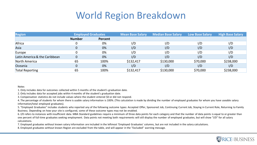#### World Region Breakdown

| <b>Region</b>                 | <b>Employed Graduates</b> |         | <b>Mean Base Salary</b> | <b>Median Base Salary</b> | <b>Low Base Salary</b> | <b>High Base Salary</b> |
|-------------------------------|---------------------------|---------|-------------------------|---------------------------|------------------------|-------------------------|
|                               | <b>Number</b>             | Percent |                         |                           |                        |                         |
| Africa                        |                           | 0%      | I/D                     | I/D                       | I/D                    | I/D                     |
| Asia                          |                           | 0%      | I/D                     | I/D                       | I/D                    | I/D                     |
| Europe                        |                           | 0%      | I/D                     | I/D                       | I/D                    | I/D                     |
| Latin America & the Caribbean |                           | 0%      | I/D                     | I/D                       | I/D                    | I/D                     |
| North America                 | 65                        | 100%    | \$132,417               | \$130,000                 | \$70,000               | \$238,000               |
| Oceania                       |                           | 0%      | I/D                     | I/D                       | I/D                    | I/D                     |
| <b>Total Reporting</b>        | 65                        | 100%    | \$132,417               | \$130,000                 | \$70,000               | \$238,000               |

#### Notes

1. Only includes data for outcomes collected within 5 months of the student's graduation date.

2. Only includes data for accepted jobs within 4 months of the student's graduation date.

3. Compensation statistics do not include values where the student entered \$0 or did not respond.

4. The percentage of students for whom there is usable salary information is 100%. (This calculation is made by dividing the number of employed graduates for whom you have useable salary information/total employed graduates).

5. "Employed Graduates" includes students who reported any of the following outcome types: Accepted Offer, Sponsored Job, Continuing Current Job, Staying in Current Role, Returning to Family Business. Depending on how your site is configured, some of these outcome types may not be enabled.

6. I/D refers to instances with insufficient data. MBA Standard guidelines require a minimum of three data points for each category and that the number of data points is equal to or greater than one percent of full-time graduates seeking employment. Data points not meeting both requirements will still display the number of employed graduates, but will show "I/D" for all salary calculations.

7. Employed graduates without known salary information are included in the leftmost 'Employed Graduates' columns, but are not included in the salary calculations.

8. Employed graduates without known Region are excluded from the table, and will appear in the "Excluded" warning message.

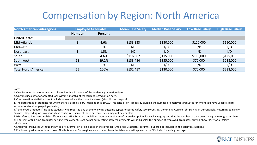### Compensation by Region: North America

| <b>North American Sub-regions</b> | <b>Employed Graduates</b> |         | <b>Mean Base Salary</b> | <b>Median Base Salary</b> | <b>Low Base Salary</b> | <b>High Base Salary</b> |
|-----------------------------------|---------------------------|---------|-------------------------|---------------------------|------------------------|-------------------------|
|                                   | <b>Number</b>             | Percent |                         |                           |                        |                         |
| United States:                    |                           |         |                         |                           |                        |                         |
| Mid-Atlantic                      |                           | 4.6%    | \$133,333               | \$130,000                 | \$120,000              | \$150,000               |
| Midwest                           | 0                         | 0%      | I/D                     | I/D                       | I/D                    | I/D                     |
| Northeast                         |                           | 1.5%    | I/D                     | I/D                       | I/D                    | I/D                     |
| South                             |                           | 4.6%    | \$116,667               | \$115,000                 | \$110,000              | \$125,000               |
| Southwest                         | 58                        | 89.2%   | \$133,484               | \$135,000                 | \$70,000               | \$238,000               |
| West                              | 0                         | 0%      | I/D                     | I/D                       | I/D                    | I/D                     |
| <b>Total North America</b>        | 65                        | 100%    | \$132,417               | \$130,000                 | \$70,000               | \$238,000               |

#### Notes

1. Only includes data for outcomes collected within 5 months of the student's graduation date.

2. Only includes data for accepted jobs within 4 months of the student's graduation date.

3. Compensation statistics do not include values where the student entered \$0 or did not respond.

4. The percentage of students for whom there is usable salary information is 100%. (This calculation is made by dividing the number of employed graduates for whom you have useable salary information/total employed graduates).

5. "Employed Graduates" includes students who reported any of the following outcome types: Accepted Offer, Sponsored Job, Continuing Current Job, Staying in Current Role, Returning to Family Business. Depending on how your site is configured, some of these outcome types may not be enabled.

6. I/D refers to instances with insufficient data. MBA Standard guidelines require a minimum of three data points for each category and that the number of data points is equal to or greater than one percent of full-time graduates seeking employment. Data points not meeting both requirements will still display the number of employed graduates, but will show "I/D" for all salary calculations.

7. Employed graduates without known salary information are included in the leftmost 'Employed Graduates' columns, but are not included in the salary calculations.

8. Employed graduates without known North American Sub-regions are excluded from the table, and will appear in the "Excluded" warning message.

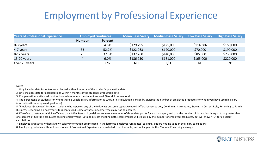### Employment by Professional Experience

| <b>Years of Professional Experience</b> |               | <b>Employed Graduates</b> | <b>Mean Base Salary</b> | <b>Median Base Salary</b> | <b>Low Base Salary</b> | <b>High Base Salary</b> |
|-----------------------------------------|---------------|---------------------------|-------------------------|---------------------------|------------------------|-------------------------|
|                                         | <b>Number</b> | Percent                   |                         |                           |                        |                         |
| $0-3$ years                             |               | 4.5%                      | \$129.795               | \$125,000                 | \$114.386              | \$150,000               |
| 4-7 years                               | 35            | 52.2%                     | \$122,963               | \$120,000                 | \$70,000               | \$190,000               |
| $8-12$ years                            | 25            | 37.3%                     | \$137,280               | \$140,000                 | \$85,000               | \$238,000               |
| 13-20 years                             |               | 6.0%                      | \$186.750               | \$181,000                 | \$165,000              | \$220,000               |
| Over 20 years                           |               | 0%                        | I/D                     | I/D                       | I/D                    | I/D                     |

#### Notes

1. Only includes data for outcomes collected within 5 months of the student's graduation date.

2. Only includes data for accepted jobs within 4 months of the student's graduation date.

3. Compensation statistics do not include values where the student entered \$0 or did not respond.

4. The percentage of students for whom there is usable salary information is 100%. (This calculation is made by dividing the number of employed graduates for whom you have useable salary information/total employed graduates).

5. "Employed Graduates" includes students who reported any of the following outcome types: Accepted Offer, Sponsored Job, Continuing Current Job, Staying in Current Role, Returning to Family Business. Depending on how your site is configured, some of these outcome types may not be enabled.

6. I/D refers to instances with insufficient data. MBA Standard guidelines require a minimum of three data points for each category and that the number of data points is equal to or greater than one percent of full-time graduates seeking employment. Data points not meeting both requirements will still display the number of employed graduates, but will show "I/D" for all salary calculations.

7. Employed graduates without known salary information are included in the leftmost 'Employed Graduates' columns, but are not included in the salary calculations.

8. Employed graduates without known Years of Professional Experience are excluded from the table, and will appear in the "Excluded" warning message.

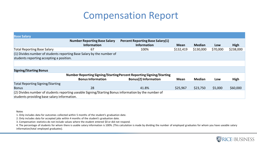#### Compensation Report

| <b>Base Salary</b>                                                                                   |                                     |                                                                      |             |               |          |           |  |  |
|------------------------------------------------------------------------------------------------------|-------------------------------------|----------------------------------------------------------------------|-------------|---------------|----------|-----------|--|--|
|                                                                                                      | <b>Number Reporting Base Salary</b> | Percent Reporting Base Salary(1)                                     |             |               |          |           |  |  |
|                                                                                                      | <b>Information</b>                  | <b>Information</b>                                                   | Mean        | <b>Median</b> | Low      | High      |  |  |
| <b>Total Reporting Base Salary</b>                                                                   | 67                                  | 100%                                                                 | \$132,419   | \$130,000     | \$70,000 | \$238,000 |  |  |
| (1) Divides number of students reporting Base Salary by the number of                                |                                     |                                                                      |             |               |          |           |  |  |
| students reporting accepting a position.                                                             |                                     |                                                                      |             |               |          |           |  |  |
|                                                                                                      |                                     |                                                                      |             |               |          |           |  |  |
| <b>Signing/Starting Bonus</b>                                                                        |                                     |                                                                      |             |               |          |           |  |  |
|                                                                                                      |                                     | Number Reporting Signing/Starting Percent Reporting Signing/Starting |             |               |          |           |  |  |
|                                                                                                      | <b>Bonus Information</b>            | <b>Bonus(2) Information</b>                                          | <b>Mean</b> | Median        | Low      | High      |  |  |
| <b>Total Reporting Signing/Starting</b>                                                              |                                     |                                                                      |             |               |          |           |  |  |
| <b>Bonus</b>                                                                                         | 28                                  | 41.8%                                                                | \$25,967    | \$23,750      | \$5,000  | \$60,000  |  |  |
| (2) Divides number of students reporting useable Signing/Starting Bonus information by the number of |                                     |                                                                      |             |               |          |           |  |  |
| students providing base salary information.                                                          |                                     |                                                                      |             |               |          |           |  |  |

#### Notes

1. Only includes data for outcomes collected within 5 months of the student's graduation date.

2. Only includes data for accepted jobs within 4 months of the student's graduation date.

3. Compensation statistics do not include values where the student entered \$0 or did not respond.

4. The percentage of students for whom there is usable salary information is 100%. (This calculation is made by dividing the number of employed graduates for whom you have useable salary information/total employed graduates).

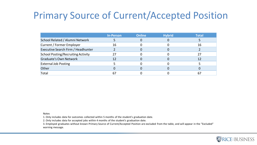### Primary Source of Current/Accepted Position

|                                           | In-Person | <b>Online</b> | <b>Hybrid</b> | Total |
|-------------------------------------------|-----------|---------------|---------------|-------|
| School Related / Alumni Network           |           |               |               |       |
| Current / Former Employer                 | 16        |               |               | 16    |
| Executive Search Firm / Headhunter        |           |               |               |       |
| <b>School Posting/Recruiting Activity</b> | 27        |               |               |       |
| Graduate's Own Network                    | 12        |               |               |       |
| <b>External Job Posting</b>               |           |               |               |       |
| Other                                     |           |               |               |       |
| Total                                     |           |               |               |       |

Notes

1. Only includes data for outcomes collected within 5 months of the student's graduation date.

2. Only includes data for accepted jobs within 4 months of the student's graduation date.

3. Employed graduates without known Primary Source of Current/Accepted Position are excluded from the table, and will appear in the "Excluded" warning message.

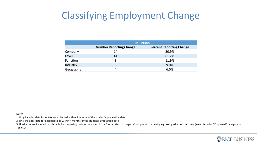### Classifying Employment Change

|           | <b>In-Person</b>               |                                 |  |  |  |
|-----------|--------------------------------|---------------------------------|--|--|--|
|           | <b>Number Reporting Change</b> | <b>Percent Reporting Change</b> |  |  |  |
| Company   | 14                             | 20.9%                           |  |  |  |
| Level     | 41                             | 61.2%                           |  |  |  |
| Function  | 8                              | 11.9%                           |  |  |  |
| Industry  | 6                              | 9.0%                            |  |  |  |
| Geography | 4                              | 6.0%                            |  |  |  |

Notes

1. Only includes data for outcomes collected within 5 months of the student's graduation date.

2. Only includes data for accepted jobs within 4 months of the student's graduation date.

3. Graduates are included in this table by comparing their job reported in the "Job at start of program" job phase to a qualifying post graduation outcome (see criteria for "Employed" category on Table 1).

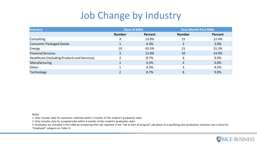### Job Change by Industry

| Industry                                     | <b>Start of MBA</b> |         | <b>Four Month Post MBA</b> |         |
|----------------------------------------------|---------------------|---------|----------------------------|---------|
|                                              | <b>Number</b>       | Percent | <b>Number</b>              | Percent |
| Consulting                                   |                     | 13.0%   | 15                         | 22.4%   |
| <b>Consumer Packaged Goods</b>               |                     | 4.3%    |                            | 3.0%    |
| Energy                                       | 10                  | 43.5%   | 21                         | 31.3%   |
| <b>Financial Services</b>                    | 3                   | 13.0%   | 10                         | 14.9%   |
| Healthcare (Including Products and Services) |                     | 8.7%    | 6                          | 9.0%    |
| Manufacturing                                |                     | 4.3%    | 4                          | 6.0%    |
| Other                                        |                     | 4.3%    |                            | 4.5%    |
| Technology                                   |                     | 8.7%    | 6                          | 9.0%    |

Notes

1. Only includes data for outcomes collected within 5 months of the student's graduation date.

2. Only includes data for accepted jobs within 4 months of the student's graduation date.

3. Graduates are included in this table by comparing their job reported in the "Job at start of program" job phase to a qualifying post graduation outcome (see criteria for "Employed" category on Table 1).

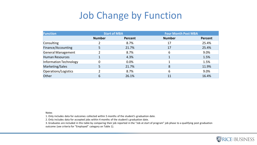### Job Change by Function

| <b>Function</b>        | <b>Start of MBA</b> |         | <b>Four Month Post MBA</b> |         |  |
|------------------------|---------------------|---------|----------------------------|---------|--|
|                        | <b>Number</b>       | Percent | <b>Number</b>              | Percent |  |
| Consulting             |                     | 8.7%    | 17                         | 25.4%   |  |
| Finance/Accounting     |                     | 21.7%   | 17                         | 25.4%   |  |
| General Management     | ำ                   | 8.7%    | 6                          | 9.0%    |  |
| <b>Human Resources</b> |                     | 4.3%    |                            | 1.5%    |  |
| Information Technology | 0                   | 0.0%    |                            | 1.5%    |  |
| Marketing/Sales        |                     | 21.7%   | 8                          | 11.9%   |  |
| Operations/Logistics   |                     | 8.7%    | 6                          | 9.0%    |  |
| Other                  | 6                   | 26.1%   | 11                         | 16.4%   |  |

Notes

1. Only includes data for outcomes collected within 5 months of the student's graduation date.

2. Only includes data for accepted jobs within 4 months of the student's graduation date.

3. Graduates are included in this table by comparing their job reported in the "Job at start of program" job phase to a qualifying post graduation

outcome (see criteria for "Employed" category on Table 1).